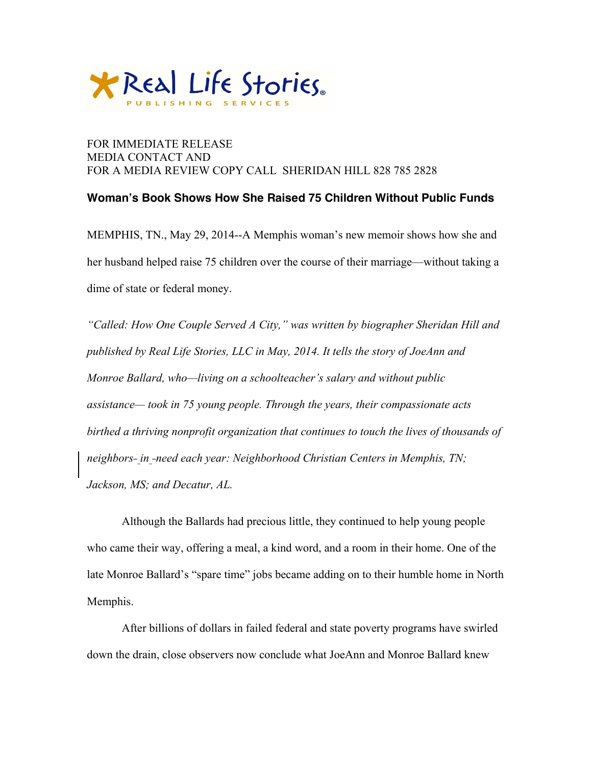

## FOR IMMEDIATE RELEASE MEDIA CONTACT AND FOR A MEDIA REVIEW COPY CALL SHERIDAN HILL 828 785 2828

## **Woman's Book Shows How She Raised 75 Children Without Public Funds**

MEMPHIS, TN., May 29, 2014--A Memphis woman's new memoir shows how she and her husband helped raise 75 children over the course of their marriage—without taking a dime of state or federal money.

*"Called: How One Couple Served A City," was written by biographer Sheridan Hill and published by Real Life Stories, LLC in May, 2014. It tells the story of JoeAnn and Monroe Ballard, who—living on a schoolteacher's salary and without public assistance— took in 75 young people. Through the years, their compassionate acts birthed a thriving nonprofit organization that continues to touch the lives of thousands of neighbors- in -need each year: Neighborhood Christian Centers in Memphis, TN; Jackson, MS; and Decatur, AL.*

Although the Ballards had precious little, they continued to help young people who came their way, offering a meal, a kind word, and a room in their home. One of the late Monroe Ballard's "spare time" jobs became adding on to their humble home in North Memphis.

After billions of dollars in failed federal and state poverty programs have swirled down the drain, close observers now conclude what JoeAnn and Monroe Ballard knew